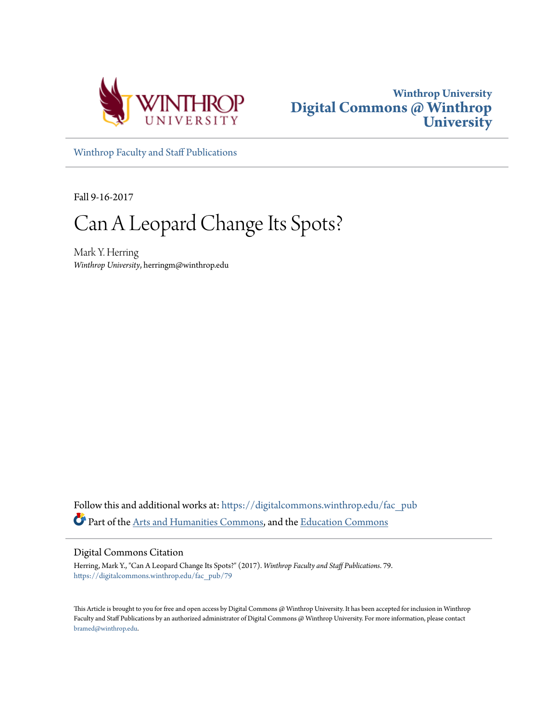



[Winthrop Faculty and Staff Publications](https://digitalcommons.winthrop.edu/fac_pub?utm_source=digitalcommons.winthrop.edu%2Ffac_pub%2F79&utm_medium=PDF&utm_campaign=PDFCoverPages)

Fall 9-16-2017

## Can A Leopard Change Its Spots?

Mark Y. Herring *Winthrop University*, herringm@winthrop.edu

Follow this and additional works at: [https://digitalcommons.winthrop.edu/fac\\_pub](https://digitalcommons.winthrop.edu/fac_pub?utm_source=digitalcommons.winthrop.edu%2Ffac_pub%2F79&utm_medium=PDF&utm_campaign=PDFCoverPages) Part of the [Arts and Humanities Commons](http://network.bepress.com/hgg/discipline/438?utm_source=digitalcommons.winthrop.edu%2Ffac_pub%2F79&utm_medium=PDF&utm_campaign=PDFCoverPages), and the [Education Commons](http://network.bepress.com/hgg/discipline/784?utm_source=digitalcommons.winthrop.edu%2Ffac_pub%2F79&utm_medium=PDF&utm_campaign=PDFCoverPages)

Digital Commons Citation

Herring, Mark Y., "Can A Leopard Change Its Spots?" (2017). *Winthrop Faculty and Staff Publications*. 79. [https://digitalcommons.winthrop.edu/fac\\_pub/79](https://digitalcommons.winthrop.edu/fac_pub/79?utm_source=digitalcommons.winthrop.edu%2Ffac_pub%2F79&utm_medium=PDF&utm_campaign=PDFCoverPages)

This Article is brought to you for free and open access by Digital Commons @ Winthrop University. It has been accepted for inclusion in Winthrop Faculty and Staff Publications by an authorized administrator of Digital Commons @ Winthrop University. For more information, please contact [bramed@winthrop.edu.](mailto:bramed@winthrop.edu)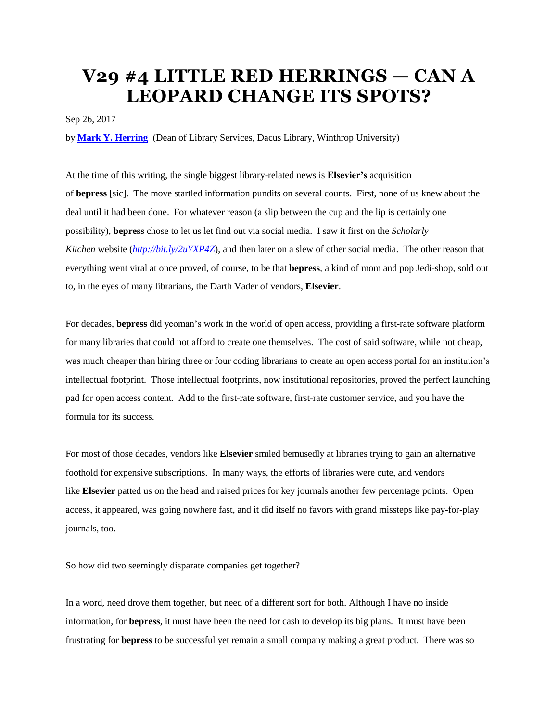## **V29 #4 LITTLE RED HERRINGS — CAN A LEOPARD CHANGE ITS SPOTS?**

Sep 26, 2017

by **Mark Y. [Herring](mailto:herringm@winthrop.edu)** (Dean of Library Services, Dacus Library, Winthrop University)

At the time of this writing, the single biggest library-related news is **Elsevier's** acquisition of **bepress** [sic]. The move startled information pundits on several counts. First, none of us knew about the deal until it had been done. For whatever reason (a slip between the cup and the lip is certainly one possibility), **bepress** chose to let us let find out via social media. I saw it first on the *Scholarly Kitchen* website (*<http://bit.ly/2uYXP4Z>*), and then later on a slew of other social media. The other reason that everything went viral at once proved, of course, to be that **bepress**, a kind of mom and pop Jedi-shop, sold out to, in the eyes of many librarians, the Darth Vader of vendors, **Elsevier**.

For decades, **bepress** did yeoman's work in the world of open access, providing a first-rate software platform for many libraries that could not afford to create one themselves. The cost of said software, while not cheap, was much cheaper than hiring three or four coding librarians to create an open access portal for an institution's intellectual footprint. Those intellectual footprints, now institutional repositories, proved the perfect launching pad for open access content. Add to the first-rate software, first-rate customer service, and you have the formula for its success.

For most of those decades, vendors like **Elsevier** smiled bemusedly at libraries trying to gain an alternative foothold for expensive subscriptions. In many ways, the efforts of libraries were cute, and vendors like **Elsevier** patted us on the head and raised prices for key journals another few percentage points. Open access, it appeared, was going nowhere fast, and it did itself no favors with grand missteps like pay-for-play journals, too.

So how did two seemingly disparate companies get together?

In a word, need drove them together, but need of a different sort for both. Although I have no inside information, for **bepress**, it must have been the need for cash to develop its big plans. It must have been frustrating for **bepress** to be successful yet remain a small company making a great product. There was so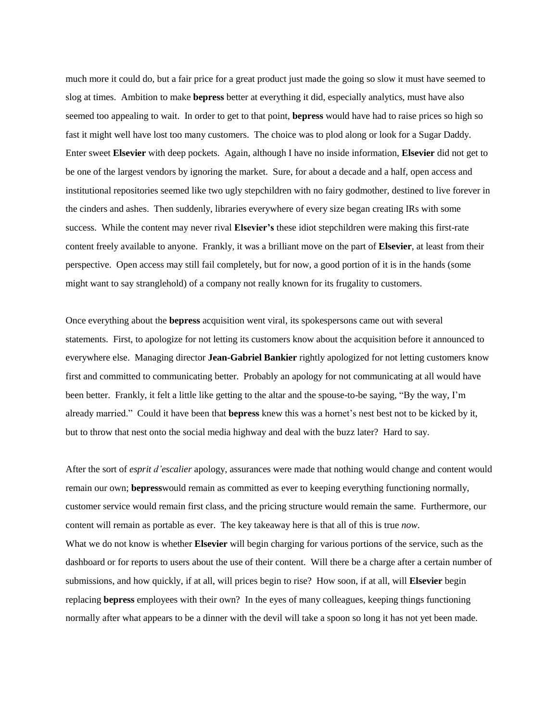much more it could do, but a fair price for a great product just made the going so slow it must have seemed to slog at times. Ambition to make **bepress** better at everything it did, especially analytics, must have also seemed too appealing to wait. In order to get to that point, **bepress** would have had to raise prices so high so fast it might well have lost too many customers. The choice was to plod along or look for a Sugar Daddy. Enter sweet **Elsevier** with deep pockets. Again, although I have no inside information, **Elsevier** did not get to be one of the largest vendors by ignoring the market. Sure, for about a decade and a half, open access and institutional repositories seemed like two ugly stepchildren with no fairy godmother, destined to live forever in the cinders and ashes. Then suddenly, libraries everywhere of every size began creating IRs with some success. While the content may never rival **Elsevier's** these idiot stepchildren were making this first-rate content freely available to anyone. Frankly, it was a brilliant move on the part of **Elsevier**, at least from their perspective. Open access may still fail completely, but for now, a good portion of it is in the hands (some might want to say stranglehold) of a company not really known for its frugality to customers.

Once everything about the **bepress** acquisition went viral, its spokespersons came out with several statements. First, to apologize for not letting its customers know about the acquisition before it announced to everywhere else. Managing director **Jean-Gabriel Bankier** rightly apologized for not letting customers know first and committed to communicating better. Probably an apology for not communicating at all would have been better. Frankly, it felt a little like getting to the altar and the spouse-to-be saying, "By the way, I'm already married." Could it have been that **bepress** knew this was a hornet's nest best not to be kicked by it, but to throw that nest onto the social media highway and deal with the buzz later? Hard to say.

After the sort of *esprit d'escalier* apology, assurances were made that nothing would change and content would remain our own; **bepress**would remain as committed as ever to keeping everything functioning normally, customer service would remain first class, and the pricing structure would remain the same. Furthermore, our content will remain as portable as ever. The key takeaway here is that all of this is true *now*. What we do not know is whether **Elsevier** will begin charging for various portions of the service, such as the dashboard or for reports to users about the use of their content. Will there be a charge after a certain number of submissions, and how quickly, if at all, will prices begin to rise? How soon, if at all, will **Elsevier** begin replacing **bepress** employees with their own? In the eyes of many colleagues, keeping things functioning normally after what appears to be a dinner with the devil will take a spoon so long it has not yet been made.